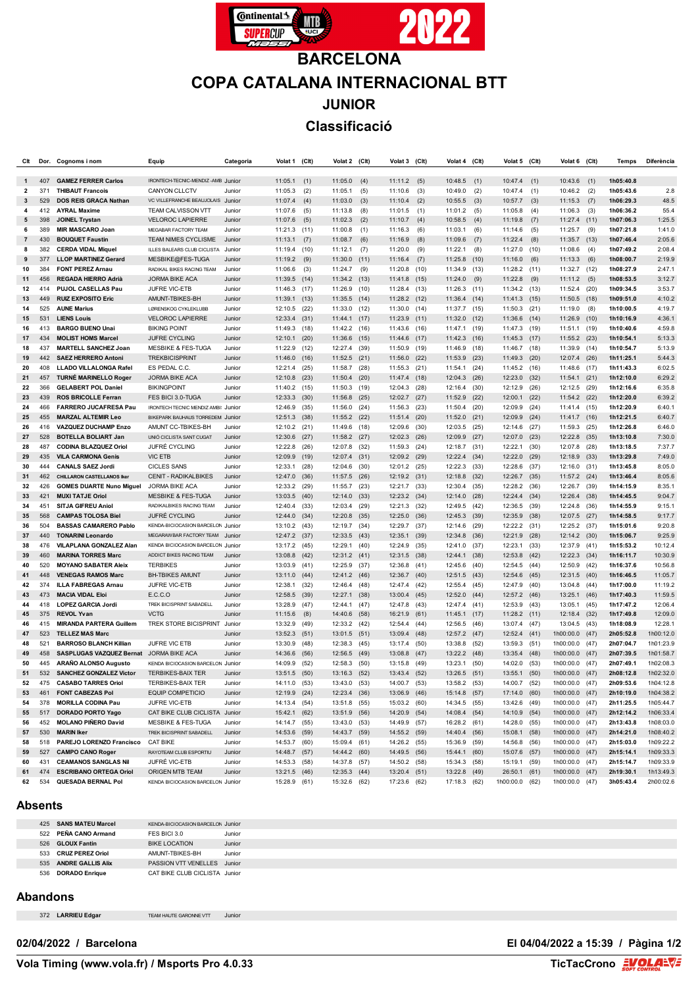

## **BARCELONA COPA CATALANA INTERNACIONAL BTT JUNIOR Classificació**

| Clt                     | Dor.       | Cognoms i nom                                             | Equip                                                     | Categoria        | Volat 1                      | (C <sub>l</sub> ) | Volat 2                      | (Clt)        | Volat 3                 | (Clt)        | Volat 4                      | (Clt) | Volat 5 (Clt)                |      | Volat 6                          | (Clt)        | Temps                  | Diferència             |
|-------------------------|------------|-----------------------------------------------------------|-----------------------------------------------------------|------------------|------------------------------|-------------------|------------------------------|--------------|-------------------------|--------------|------------------------------|-------|------------------------------|------|----------------------------------|--------------|------------------------|------------------------|
|                         |            |                                                           |                                                           |                  |                              |                   |                              |              |                         |              |                              |       |                              |      |                                  |              |                        |                        |
| $\mathbf{1}$            | 407        | <b>GAMEZ FERRER Carlos</b>                                | IRONTECH-TECNIC-MENDIZ-AMB Junior                         |                  | 11:05.1                      | (1)               | 11:05.0                      | (4)          | 11:11.2                 | (5)          | 10:48.5                      | (1)   | 10:47.4                      | (1)  | 10:43.6                          | (1)          | 1h05:40.8              |                        |
| $\overline{\mathbf{2}}$ | 371        | <b>THIBAUT Francois</b>                                   | CANYON CLLCTV                                             | Junior           | 11:05.3                      | (2)               | 11:05.1                      | (5)          | 11:10.6                 | (3)          | 10:49.0                      | (2)   | 10:47.4                      | (1)  | 10:46.2                          | (2)          | 1h05:43.6              | 2.8                    |
| 3                       | 529        | <b>DOS REIS GRACA Nathan</b>                              | VC VILLEFRANCHE BEAUJOLAIS Junior                         |                  | 11:07.4                      | (4)               | 11:03.0                      | (3)          | 11:10.4                 | (2)          | 10:55.5                      | (3)   | 10:57.7                      | (3)  | 11:15.3                          | (7)          | 1h06:29.3              | 48.5                   |
| 4                       | 412        | <b>AYRAL Maxime</b>                                       | <b>TEAM CALVISSON VTT</b>                                 | Junior           | 11:07.6                      | (5)               | 11:13.8                      | (8)          | 11:01.5                 | (1)          | 11:01.2                      | (5)   | 11:05.8                      | (4)  | 11:06.3                          | (3)          | 1h06:36.2              | 55.4                   |
| 5                       | 398        | <b>JOINEL Trystan</b>                                     | <b>VELOROC LAPIERRE</b>                                   | Junior           | 11:07.6                      | (5)               | 11:02.3                      | (2)          | 11:10.7                 | (4)          | 10:58.5                      | (4)   | 11:19.8                      | (7)  | $11:27.4$ (11)                   |              | 1h07:06.3              | 1:25.5                 |
| 6                       | 389        | <b>MIR MASCARO Joan</b>                                   | MEGABAR FACTORY TEAM                                      | Junior           | 11:21.3                      | (11)              | 11:00.8                      | (1)          | 11:16.3                 | (6)          | 11:03.1                      | (6)   | 11:14.6                      | (5)  | 11:25.7                          | (9)          | 1h07:21.8              | 1:41.0                 |
| $\overline{7}$          | 430        | <b>BOUQUET Faustin</b>                                    | TEAM NIMES CYCLISME                                       | Junior           | 11:13.1                      | (7)               | 11:08.7                      | (6)          | 11:16.9                 | (8)          | 11:09.6                      | (7)   | 11:22.4                      | (8)  | 11:35.7                          | (13)         | 1h07:46.4              | 2:05.6                 |
| 8                       | 382        | <b>CERDA VIDAL Miquel</b>                                 | ILLES BALEARS CLUB CICLISTA                               | Junior           | $11:19.4$ (10)               |                   | 11:12.1                      | (7)          | 11:20.0                 | (9)          | 11:22.1                      | (8)   | 11:27.0                      | (10) | 11:08.6                          | (4)          | 1h07:49.2              | 2:08.4                 |
| 9                       | 377        | <b>LLOP MARTINEZ Gerard</b>                               | MESBIKE@FES-TUGA                                          | Junior           | 11:19.2                      | (9)               | 11:30.0                      | (11)         | 11:16.4                 | (7)          | 11:25.8                      | (10)  | 11:16.0                      | (6)  | 11:13.3                          | (6)          | 1h08:00.7              | 2:19.9                 |
| 10                      | 384        | <b>FONT PEREZ Arnau</b>                                   | RADIKAL BIKES RACING TEAM                                 | Junior           | 11:06.6                      | (3)               | 11:24.7                      | (9)          | 11:20.8                 | (10)         | 11:34.9 (13)                 |       | $11:28.2$ (11)               |      | $11:32.7$ (12)                   |              | 1h08:27.9              | 2:47.1                 |
| 11<br>12                | 456<br>414 | REGADA HIERRO Adrià<br>PUJOL CASELLAS Pau                 | <b>JORMA BIKE ACA</b><br>JUFRE VIC-ETB                    | Junior           | 11:39.5                      | (14)<br>(17)      | 11:34.2                      | (13)<br>(10) | 11:41.8<br>11:28.4      | (15)<br>(13) | 11:24.0<br>$11:26.3$ (11)    | (9)   | 11:22.8<br>11:34.2 (13)      | (9)  | 11:11.2                          | (5)<br>(20)  | 1h08:53.5<br>1h09:34.5 | 3:12.7<br>3:53.7       |
| 13                      | 449        | <b>RUIZ EXPOSITO Eric</b>                                 | AMUNT-TBIKES-BH                                           | Junior<br>Junior | 11:46.3<br>$11:39.1$ (13)    |                   | 11:26.9<br>11:35.5           | (14)         | 11:28.2                 | (12)         | 11:36.4 (14)                 |       | 11:41.3 (15)                 |      | 11:52.4<br>11:50.5               | (18)         | 1h09:51.0              | 4:10.2                 |
| 14                      | 525        | <b>AUNE Marius</b>                                        | LØRENSKOG CYKLEKLUBB                                      | Junior           | 12:10.5                      | (22)              | 11:33.0                      | (12)         | 11:30.0                 | (14)         | 11:37.7 (15)                 |       | 11:50.3                      | (21) | 11:19.0                          | (8)          | 1h10:00.5              | 4:19.7                 |
| 15                      | 531        | <b>LIENS Louis</b>                                        | <b>VELOROC LAPIERRE</b>                                   | Junior           | 12:33.4 (31)                 |                   | 11:44.1                      | (17)         | 11:23.9                 | (11)         | 11:32.0 (12)                 |       | 11:36.6 (14)                 |      | 11:26.9                          | (10)         | 1h10:16.9              | 4:36.1                 |
| 16                      | 413        | <b>BARGO BUENO Unai</b>                                   | <b>BIKING POINT</b>                                       | Junior           | 11:49.3                      | (18)              | 11:42.2                      | (16)         | 11:43.6                 | (16)         | 11:47.1 (19)                 |       | 11:47.3                      | (19) | 11:51.1                          | (19)         | 1h10:40.6              | 4:59.8                 |
| 17                      | 434        | <b>MOLIST HOMS Marcel</b>                                 | <b>JUFRE CYCLING</b>                                      | Junior           | 12:10.1                      | (20)              | 11:36.6                      | (15)         | 11:44.6                 | (17)         | 11:42.3 (16)                 |       | 11:45.3 (17)                 |      | 11:55.2 (23)                     |              | 1h10:54.1              | 5:13.3                 |
| 18                      | 437        | <b>MARTELL SANCHEZ Joan</b>                               | <b>MESBIKE &amp; FES-TUGA</b>                             | Junior           | 11:22.9                      | (12)              | 12:27.4                      | (39)         | 11:50.9                 | (19)         | 11:46.9 (18)                 |       | 11:46.7 (18)                 |      | 11:39.9                          | (14)         | 1h10:54.7              | 5:13.9                 |
| 19                      | 442        | <b>SAEZ HERRERO Antoni</b>                                | <b>TREKBICISPRINT</b>                                     | Junior           | 11:46.0                      | (16)              | 11:52.5                      | (21)         | 11:56.0                 | (22)         | 11:53.9                      | (23)  | 11:49.3                      | (20) | 12:07.4                          | (26)         | 1h11:25.1              | 5:44.3                 |
| 20                      | 408        | LLADO VILLALONGA Rafel                                    | ES PEDAL C.C.                                             | Junior           | 12:21.4                      | (25)              | 11:58.7                      | (28)         | 11:55.3                 | (21)         | 11:54.1 (24)                 |       | 11:45.2 (16)                 |      | 11:48.6                          | (17)         | 1h11:43.3              | 6:02.5                 |
| 21                      | 457        | <b>TURNÉ MARINELLO Roger</b>                              | <b>JORMA BIKE ACA</b>                                     | Junior           | 12:10.8                      | (23)              | 11:50.4                      | (20)         | 11:47.4                 | (18)         | 12:04.3                      | (26)  | 12:23.0                      | (32) | 11:54.1                          | (21)         | 1h12:10.0              | 6:29.2                 |
| 22                      | 366        | <b>GELABERT POL Daniel</b>                                | <b>BIKINGPOINT</b>                                        | Junior           | 11:40.2                      | (15)              | 11:50.3                      | (19)         | 12:04.3                 | (28)         | 12:16.4                      | (30)  | 12:12.9                      | (26) | 12:12.5                          | (29)         | 1h12:16.6              | 6:35.8                 |
| 23                      | 439        | <b>ROS BRICOLLE Ferran</b>                                | FES BICI 3.0-TUGA                                         | Junior           | 12:33.3                      | (30)              | 11:56.8                      | (25)         | 12:02.7                 | (27)         | 11:52.9 (22)                 |       | 12:00.1                      | (22) | $11:54.2$ (22)                   |              | 1h12:20.0              | 6:39.2                 |
| 24                      | 466        | <b>FARRERO JUCAFRESA Pau</b>                              | IRONTECH TECNIC MENDIZ AMBI: Junior                       |                  | 12:46.9                      | (35)              | 11:56.0                      | (24)         | 11:56.3                 | (23)         | 11:50.4                      | (20)  | 12:09.9                      | (24) | 11:41.4                          | (15)         | 1h12:20.9              | 6:40.1                 |
| 25                      | 455        | <b>MARZAL ALTEMIR Leo</b>                                 | BIKEPARK BAUHAUS TORREDEM Junior                          |                  | 12:51.3                      | (38)              | 11:55.2                      | (22)         | 11:51.4                 | (20)         | 11:52.0 (21)                 |       | 12:09.9                      | (24) | 11:41.7                          | (16)         | 1h12:21.5              | 6:40.7                 |
| 26                      | 416        | <b>VAZQUEZ DUCHAMP Enzo</b>                               | AMUNT CC-TBIKES-BH                                        | Junior           | 12:10.2                      | (21)              | 11:49.6                      | (18)         | 12:09.6                 | (30)         | 12:03.5                      | (25)  | 12:14.6                      | (27) | 11:59.3                          | (25)         | 1h12:26.8              | 6:46.0                 |
| 27                      | 528        | <b>BOTELLA BOLIART Jan</b>                                | UNIÓ CICLISTA SANT CUGAT                                  | Junior           | 12:30.6                      | (27)              | 11:58.2                      | (27)         | 12:02.3                 | (26)         | 12:09.9 (27)                 |       | 12:07.0                      | (23) | 12:22.8                          | (35)         | 1h13:10.8              | 7:30.0                 |
| 28                      | 487        | <b>CODINA BLAZQUEZ Oriol</b>                              | <b>JUFRÉ CYCLING</b>                                      | Junior           | 12:22.8                      | (26)              | 12:07.8                      | (32)         | 11:59.3                 | (24)         | 12:18.7 (31)                 |       | 12:22.1 (30)                 |      | 12:07.8                          | (28)         | 1h13:18.5              | 7:37.7                 |
| 29                      | 435        | <b>VILA CARMONA Genis</b>                                 | <b>VIC ETB</b>                                            | Junior           | 12:09.9                      | (19)              | 12:07.4                      | (31)         | 12:09.2                 | (29)         | 12:22.4 (34)                 |       | 12:22.0                      | (29) | 12:18.9                          | (33)         | 1h13:29.8              | 7:49.0                 |
| 30                      | 444        | <b>CANALS SAEZ Jordi</b>                                  | <b>CICLES SANS</b>                                        | Junior           | 12:33.1                      | (28)              | 12:04.6                      | (30)         | 12:01.2                 | (25)         | 12:22.3 (33)                 |       | 12:28.6                      | (37) | 12:16.0                          | (31)         | 1h13:45.8              | 8:05.0                 |
| 31                      | 462        | <b>CHILLARON CASTELLANOS Iker</b>                         | <b>CENIT - RADIKALBIKES</b>                               | Junior           | 12:47.0                      | (36)              | 11:57.5                      | (26)         | 12:19.2                 | (31)         | 12:18.8                      | (32)  | 12:26.7 (35)                 |      | 11:57.2                          | (24)         | 1h13:46.4              | 8:05.6                 |
| 32                      | 426        | <b>GOMES DUARTE Nuno Miguel</b>                           | JORMA BIKE ACA                                            | Junior           | 12:33.2                      | (29)              | 11:55.7                      | (23)         | 12:21.7                 | (33)         | 12:30.4                      | (35)  | 12:28.2 (36)                 |      | 12:26.7                          | (39)         | 1h14:15.9              | 8:35.1                 |
| 33                      | 421        | <b>MUXI TATJE Oriol</b>                                   | <b>MESBIKE &amp; FES-TUGA</b>                             | Junior           | 13:03.5                      | (40)              | 12:14.0                      | (33)         | 12:23.2                 | (34)         | 12:14.0 (28)                 |       | 12:24.4 (34)                 |      | 12:26.4                          | (38)         | 1h14:45.5              | 9:04.7                 |
| 34                      | 451        | <b>SITJA GIFREU Aniol</b>                                 | RADIKALBIKES RACING TEAM                                  | Junior           | 12:40.4                      | (33)              | 12:03.4                      | (29)         | 12:21.3                 | (32)         | 12:49.5                      | (42)  | 12:36.5                      | (39) | 12:24.8                          | (36)         | 1h14:55.9              | 9:15.1                 |
| 35<br>36                | 568<br>504 | <b>CAMPAS TOLOSA Biel</b><br><b>BASSAS CAMARERO Pablo</b> | <b>JUFRÉ CYCLING</b><br>KENDA-BICIOCASION BARCELON Junior | Junior           | 12:44.0<br>13:10.2           | (34)<br>(43)      | 12:20.8<br>12:19.7           | (35)<br>(34) | 12:25.0<br>12:29.7      | (36)<br>(37) | 12:45.3 (39)<br>12:14.6      | (29)  | 12:35.9<br>12:22.2 (31)      | (38) | 12:07.5<br>12:25.2               | (27)<br>(37) | 1h14:58.5<br>1h15:01.6 | 9:17.7<br>9:20.8       |
| 37                      | 440        | <b>TONARINI Leonardo</b>                                  | MEGARAWBAR FACTORY TEAM                                   | Junior           | 12:47.2                      | (37)              | 12:33.5                      | (43)         | 12:35.1                 | (39)         | 12:34.8                      | (36)  | 12:21.9                      | (28) | 12:14.2                          | (30)         | 1h15:06.7              | 9:25.9                 |
| 38                      | 476        | VILAPLANA GONZALEZ Alan                                   | <b>KENDA BICIOCASION BARCELON Junior</b>                  |                  | 13:17.2 (45)                 |                   | 12:29.1                      | (40)         | 12:24.9                 | (35)         | 12:41.0                      | (37)  | 12:23.1 (33)                 |      | 12:37.9                          | (41)         | 1h15:53.2              | 10:12.4                |
| 39                      | 460        | <b>MARINA TORRES Marc</b>                                 | ADDICT BIKES RACING TEAM                                  | Junior           | 13:08.8                      | (42)              | 12:31.2                      | (41)         | 12:31.5                 | (38)         | 12:44.1                      | (38)  | 12:53.8                      | (42) | 12:22.3                          | (34)         | 1h16:11.7              | 10:30.9                |
| 40                      | 520        | <b>MOYANO SABATER Aleix</b>                               | <b>TERBIKES</b>                                           | Junior           | 13:03.9                      | (41)              | 12:25.9                      | (37)         | 12:36.8                 | (41)         | 12:45.6                      | (40)  | 12:54.5 (44)                 |      | 12:50.9                          | (42)         | 1h16:37.6              | 10:56.8                |
| 41                      | 448        | <b>VENEGAS RAMOS Marc</b>                                 | <b>BH-TBIKES AMUNT</b>                                    | Junior           | 13:11.0                      | (44)              | 12:41.2                      | (46)         | 12:36.7                 | (40)         | $12:51.5$ (43)               |       | 12:54.6                      | (45) | $12:31.5$ (40)                   |              | 1h16:46.5              | 11:05.7                |
| 42                      | 374        | <b>ILLA FABREGAS Arnau</b>                                | <b>JUFRE VIC-ETB</b>                                      | Junior           | 12:38.1                      | (32)              | 12:46.4                      | (48)         | 12:47.4                 | (42)         | 12:55.4 (45)                 |       | 12:47.9                      | (40) | 13:04.8                          | (44)         | 1h17:00.0              | 11:19.2                |
| 43                      | 473        | <b>MACIA VIDAL Eloi</b>                                   | E.C.C.O                                                   | Junior           | 12:58.5                      | (39)              | 12:27.1                      | (38)         | 13:00.4                 | (45)         | 12:52.0 (44)                 |       | 12:57.2 (46)                 |      | 13:25.1                          | (46)         | 1h17:40.3              | 11:59.5                |
| 44                      | 418        | <b>LOPEZ GARCIA Jordi</b>                                 | TREK BICISPRINT SABADELL                                  | Junior           | 13:28.9                      | (47)              | 12:44.1                      | (47)         | 12:47.8                 | (43)         | $12:47.4$ (41)               |       | 12:53.9                      | (43) | 13:05.1                          | (45)         | 1h17:47.2              | 12:06.4                |
| 45                      | 375        | <b>REVOL Yvan</b>                                         | <b>VCTG</b>                                               | Junior           | 11:15.6                      | (8)               | 14:40.6                      | (58)         | 16:21.9                 | (61)         | $11:45.1$ (17)               |       | $11:28.2$ (11)               |      | 12:18.4                          | (32)         | 1h17:49.8              | 12:09.0                |
| 46                      | 415        | <b>MIRANDA PARTERA Guillem</b>                            | TREK STORE BICISPRINT Junior                              |                  | 13:32.9                      | (49)              | 12:33.2                      | (42)         | 12:54.4                 | (44)         | $12:56.5$ (46)               |       | 13:07.4                      | (47) | 13:04.5                          | (43)         | 1h18:08.9              | 12:28.1                |
| 47                      | 523        | <b>TELLEZ MAS Marc</b>                                    |                                                           | Junior           | 13:52.3                      | (51)              | 13:01.5                      | (51)         | 13:09.4                 | (48)         | 12:57.2 (47)                 |       | 12:52.4 (41)                 |      | 1h00:00.0                        | (47)         | 2h05:52.8              | 1h00:12.0              |
| 48                      | 521        | <b>BARROSO BLANCH Killian</b>                             | <b>JUFRE VIC ETB</b>                                      | Junior           | 13:30.9                      | (48)              | 12:38.3                      | (45)         | 13:17.4                 | (50)         | 13:38.8 (52)                 |       | 13:59.3 (51)                 |      | 1h00:00.0                        | (47)         | 2h07:04.7              | 1h01:23.9              |
| 49                      | 458        | <b>SASPLUGAS VAZQUEZ Bernat</b>                           | <b>JORMA BIKE ACA</b>                                     | Junior           | 14:36.6                      | (56)              | 12:56.5                      | (49)         | 13:08.8                 | (47)         | 13:22.2 (48)                 |       | 13:35.4 (48)                 |      | 1h00:00.0                        | (47)         | 2h07:39.5              | 1h01:58.7              |
| 50                      | 445        | <b>ARANO ALONSO Augusto</b>                               | KENDA BICIOCASION BARCELON Junior                         |                  | 14:09.9                      | (52)              | 12:58.3                      | (50)         | 13:15.8                 | (49)         | 13:23.1 (50)                 |       | 14:02.0                      | (53) | 1h00:00.0                        | (47)         | 2h07:49.1              | 1h02:08.3              |
| 51                      | 532        | <b>SANCHEZ GONZALEZ Victor</b>                            | <b>TERBIKES-BAIX TER</b>                                  | Junior           | 13:51.5 (50)                 |                   | 13:16.3                      | (52)         | 13:43.4                 | (52)         | 13:26.5 (51)                 |       | 13:55.1 (50)                 |      | 1h00:00.0                        | (47)         | 2h08:12.8              | 1h02:32.0              |
| 52                      | 475        | <b>CASABO TARRES Oriol</b><br><b>FONT CABEZAS Pol</b>     | TERBIKES-BAIX TER                                         | Junior           | 14:11.0 (53)                 |                   | 13:43.0 (53)                 |              | 14:00.7 (53)            |              | 13:58.2 (53)                 |       | 14:00.7 (52)                 |      | 1h00:00.0 (47)                   |              | 2h09:53.6              | 1h04:12.8              |
| 53<br>54                | 461<br>378 | <b>MORILLA CODINA Pau</b>                                 | EQUIP COMPETICIO<br>JUFRE VIC-ETB                         | Junior<br>Junior | 12:19.9 (24)<br>14:13.4 (54) |                   | 12:23.4 (36)<br>13:51.8 (55) |              | 13:06.9 (46)<br>15:03.2 | (60)         | 15:14.8 (57)<br>14:34.5 (55) |       | 17:14.0 (60)<br>13:42.6 (49) |      | 1h00:00.0 (47)<br>1h00:00.0 (47) |              | 2h10:19.0<br>2h11:25.5 | 1h04:38.2<br>1h05:44.7 |
| 55                      | 517        | DORADO PORTO Yago                                         | CAT BIKE CLUB CICLISTA Junior                             |                  | 15:42.1 (62)                 |                   | 13:51.9 (56)                 |              | 14:20.9                 | (54)         | 14:08.4 (54)                 |       | 14:10.9 (54)                 |      | 1h00:00.0 (47)                   |              | 2h12:14.2              | 1h06:33.4              |
| 56                      | 452        | <b>MOLANO PIÑERO David</b>                                | MESBIKE & FES-TUGA                                        | Junior           | 14:14.7 (55)                 |                   | 13:43.0 (53)                 |              | 14:49.9                 | (57)         | 16:28.2 (61)                 |       | 14:28.0 (55)                 |      | 1h00:00.0 (47)                   |              | 2h13:43.8              | 1h08:03.0              |
| 57                      | 530        | <b>MARIN Iker</b>                                         | TREK BICISPRINT SABADELL                                  | Junior           | 14:53.6 (59)                 |                   | 14:43.7 (59)                 |              | 14:55.2 (59)            |              | 14:40.4 (56)                 |       | 15:08.1 (58)                 |      | 1h00:00.0 (47)                   |              | 2h14:21.0              | 1h08:40.2              |
| 58                      | 518        | PAREJO LORENZO Francisco                                  | <b>CAT BIKE</b>                                           | Junior           | 14:53.7 (60)                 |                   | 15:09.4 (61)                 |              | 14:26.2 (55)            |              | 15:36.9 (59)                 |       | 14:56.8 (56)                 |      | 1h00:00.0 (47)                   |              | 2h15:03.0              | 1h09:22.2              |
| 59                      | 527        | <b>CAMPO CANO Roger</b>                                   | RAYOTEAM CLUB ESPORTIU                                    | Junior           | 14:48.7 (57)                 |                   | 14:44.2 (60)                 |              | 14:49.5 (56)            |              | 15:44.1 (60)                 |       | 15:07.6 (57)                 |      | 1h00:00.0 (47)                   |              | 2h15:14.1              | 1h09:33.3              |
| 60                      | 431        | <b>CEAMANOS SANGLAS Nil</b>                               | JUFRÉ VIC-ETB                                             | Junior           | 14:53.3 (58)                 |                   | 14:37.8 (57)                 |              | 14:50.2 (58)            |              | 15:34.3 (58)                 |       | 15:19.1 (59)                 |      | 1h00:00.0 (47)                   |              | 2h15:14.7              | 1h09:33.9              |
| 61                      | 474        | <b>ESCRIBANO ORTEGA Oriol</b>                             | ORIGEN MTB TEAM                                           | Junior           | 13:21.5 (46)                 |                   | $12:35.3$ (44)               |              | 13:20.4 (51)            |              | 13:22.8 (49)                 |       | 26:50.1 (61)                 |      | 1h00:00.0 (47)                   |              | 2h19:30.1              | 1h13:49.3              |
| 62                      | 534        | <b>QUESADA BERNAL Pol</b>                                 | KENDA BICIOCASION BARCELON Junior                         |                  | 15:28.9 (61)                 |                   | 15:32.6 (62)                 |              | 17:23.6 (62)            |              | 17:18.3 (62)                 |       | 1h00:00.0 (62)               |      | 1h00:00.0 (47)                   |              | 3h05:43.4              | 2h00:02.6              |

## **Absents**

| Junior                        |
|-------------------------------|
| Junior                        |
| Junior                        |
| <b>Junior</b>                 |
| CAT BIKE CLUB CICLISTA Junior |
|                               |

## **Abandons**

T.

**LARRIEU Edgar** TEAM HAUTE GARONNE VTT Junior